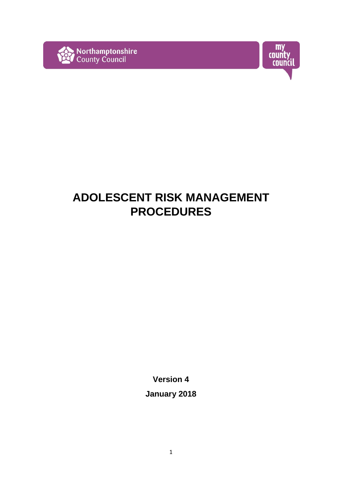



# **ADOLESCENT RISK MANAGEMENT PROCEDURES**

**Version 4** 

**January 2018**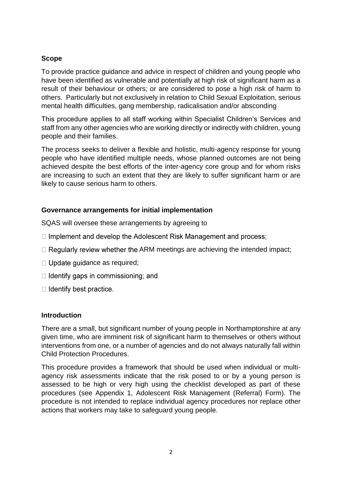#### **Scope**

To provide practice guidance and advice in respect of children and young people who have been identified as vulnerable and potentially at high risk of significant harm as a result of their behaviour or others; or are considered to pose a high risk of harm to others. Particularly but not exclusively in relation to Child Sexual Exploitation, serious mental health difficulties, gang membership, radicalisation and/or absconding

This procedure applies to all staff working within Specialist Children's Services and staff from any other agencies who are working directly or indirectly with children, young people and their families.

The process seeks to deliver a flexible and holistic, multi-agency response for young people who have identified multiple needs, whose planned outcomes are not being achieved despite the best efforts of the inter-agency core group and for whom risks are increasing to such an extent that they are likely to suffer significant harm or are likely to cause serious harm to others.

## **Governance arrangements for initial implementation**

SQAS will oversee these arrangements by agreeing to

- □ Implement and develop the Adolescent Risk Management and process;
- $\Box$  Regularly review whether the ARM meetings are achieving the intended impact:
- $\Box$  Update guidance as required;
- $\Box$  Identify gaps in commissioning; and
- $\Box$  Identify best practice.

#### **Introduction**

There are a small, but significant number of young people in Northamptonshire at any given time, who are imminent risk of significant harm to themselves or others without interventions from one, or a number of agencies and do not always naturally fall within Child Protection Procedures.

This procedure provides a framework that should be used when individual or multiagency risk assessments indicate that the risk posed to or by a young person is assessed to be high or very high using the checklist developed as part of these procedures (see Appendix 1, Adolescent Risk Management (Referral) Form). The procedure is not intended to replace individual agency procedures nor replace other actions that workers may take to safeguard young people.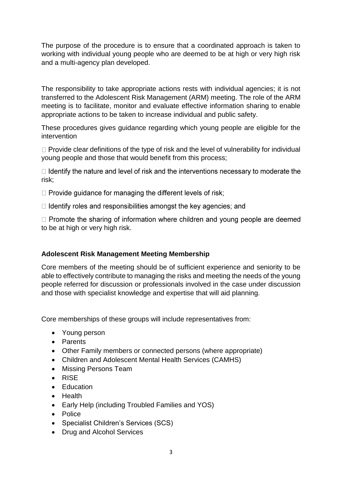The purpose of the procedure is to ensure that a coordinated approach is taken to working with individual young people who are deemed to be at high or very high risk and a multi-agency plan developed.

The responsibility to take appropriate actions rests with individual agencies; it is not transferred to the Adolescent Risk Management (ARM) meeting. The role of the ARM meeting is to facilitate, monitor and evaluate effective information sharing to enable appropriate actions to be taken to increase individual and public safety.

These procedures gives guidance regarding which young people are eligible for the intervention

 $\Box$  Provide clear definitions of the type of risk and the level of vulnerability for individual young people and those that would benefit from this process;

 $\Box$  Identify the nature and level of risk and the interventions necessary to moderate the risk;

 $\Box$  Provide quidance for managing the different levels of risk;

 $\Box$  Identify roles and responsibilities amongst the key agencies; and

 $\Box$  Promote the sharing of information where children and young people are deemed to be at high or very high risk.

## **Adolescent Risk Management Meeting Membership**

Core members of the meeting should be of sufficient experience and seniority to be able to effectively contribute to managing the risks and meeting the needs of the young people referred for discussion or professionals involved in the case under discussion and those with specialist knowledge and expertise that will aid planning.

Core memberships of these groups will include representatives from:

- Young person
- Parents
- Other Family members or connected persons (where appropriate)
- Children and Adolescent Mental Health Services (CAMHS)
- Missing Persons Team
- RISE
- Education
- Health
- Early Help (including Troubled Families and YOS)
- Police
- Specialist Children's Services (SCS)
- Drug and Alcohol Services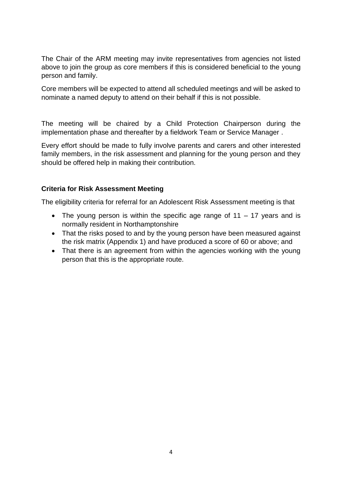The Chair of the ARM meeting may invite representatives from agencies not listed above to join the group as core members if this is considered beneficial to the young person and family.

Core members will be expected to attend all scheduled meetings and will be asked to nominate a named deputy to attend on their behalf if this is not possible.

The meeting will be chaired by a Child Protection Chairperson during the implementation phase and thereafter by a fieldwork Team or Service Manager .

Every effort should be made to fully involve parents and carers and other interested family members, in the risk assessment and planning for the young person and they should be offered help in making their contribution.

#### **Criteria for Risk Assessment Meeting**

The eligibility criteria for referral for an Adolescent Risk Assessment meeting is that

- The young person is within the specific age range of  $11 17$  years and is normally resident in Northamptonshire
- That the risks posed to and by the young person have been measured against the risk matrix (Appendix 1) and have produced a score of 60 or above; and
- That there is an agreement from within the agencies working with the young person that this is the appropriate route.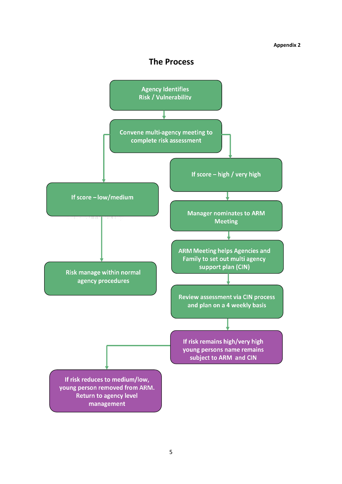## **The Process**

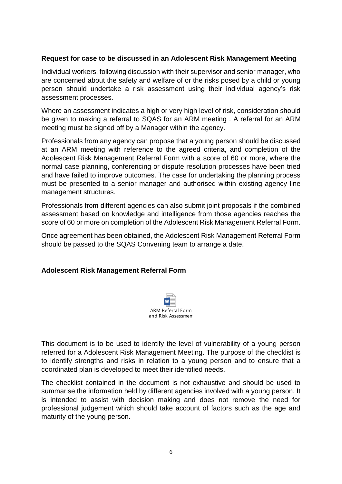#### **Request for case to be discussed in an Adolescent Risk Management Meeting**

Individual workers, following discussion with their supervisor and senior manager, who are concerned about the safety and welfare of or the risks posed by a child or young person should undertake a risk assessment using their individual agency's risk assessment processes.

Where an assessment indicates a high or very high level of risk, consideration should be given to making a referral to SQAS for an ARM meeting . A referral for an ARM meeting must be signed off by a Manager within the agency.

Professionals from any agency can propose that a young person should be discussed at an ARM meeting with reference to the agreed criteria, and completion of the Adolescent Risk Management Referral Form with a score of 60 or more, where the normal case planning, conferencing or dispute resolution processes have been tried and have failed to improve outcomes. The case for undertaking the planning process must be presented to a senior manager and authorised within existing agency line management structures.

Professionals from different agencies can also submit joint proposals if the combined assessment based on knowledge and intelligence from those agencies reaches the score of 60 or more on completion of the Adolescent Risk Management Referral Form.

Once agreement has been obtained, the Adolescent Risk Management Referral Form should be passed to the SQAS Convening team to arrange a date.

## **Adolescent Risk Management Referral Form**



This document is to be used to identify the level of vulnerability of a young person referred for a Adolescent Risk Management Meeting. The purpose of the checklist is to identify strengths and risks in relation to a young person and to ensure that a coordinated plan is developed to meet their identified needs.

The checklist contained in the document is not exhaustive and should be used to summarise the information held by different agencies involved with a young person. It is intended to assist with decision making and does not remove the need for professional judgement which should take account of factors such as the age and maturity of the young person.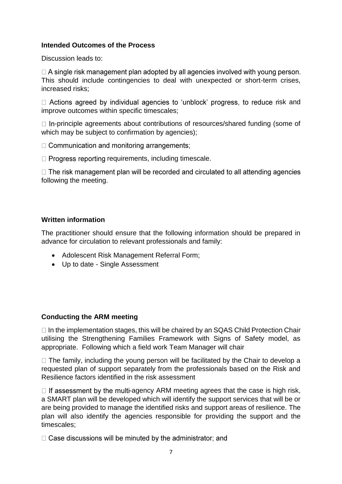#### **Intended Outcomes of the Process**

Discussion leads to:

 $\Box$  A single risk management plan adopted by all agencies involved with young person. This should include contingencies to deal with unexpected or short-term crises, increased risks;

 $\Box$  Actions agreed by individual agencies to 'unblock' progress, to reduce risk and improve outcomes within specific timescales;

 $\Box$  In-principle agreements about contributions of resources/shared funding (some of which may be subject to confirmation by agencies);

 $\Box$  Communication and monitoring arrangements;

 $\Box$  Progress reporting requirements, including timescale.

 $\Box$  The risk management plan will be recorded and circulated to all attending agencies following the meeting.

#### **Written information**

The practitioner should ensure that the following information should be prepared in advance for circulation to relevant professionals and family:

- Adolescent Risk Management Referral Form;
- Up to date Single Assessment

## **Conducting the ARM meeting**

 $\Box$  In the implementation stages, this will be chaired by an SQAS Child Protection Chair utilising the Strengthening Families Framework with Signs of Safety model, as appropriate. Following which a field work Team Manager will chair

 $\Box$  The family, including the young person will be facilitated by the Chair to develop a requested plan of support separately from the professionals based on the Risk and Resilience factors identified in the risk assessment

 $\Box$  If assessment by the multi-agency ARM meeting agrees that the case is high risk, a SMART plan will be developed which will identify the support services that will be or are being provided to manage the identified risks and support areas of resilience. The plan will also identify the agencies responsible for providing the support and the timescales;

□ Case discussions will be minuted by the administrator; and